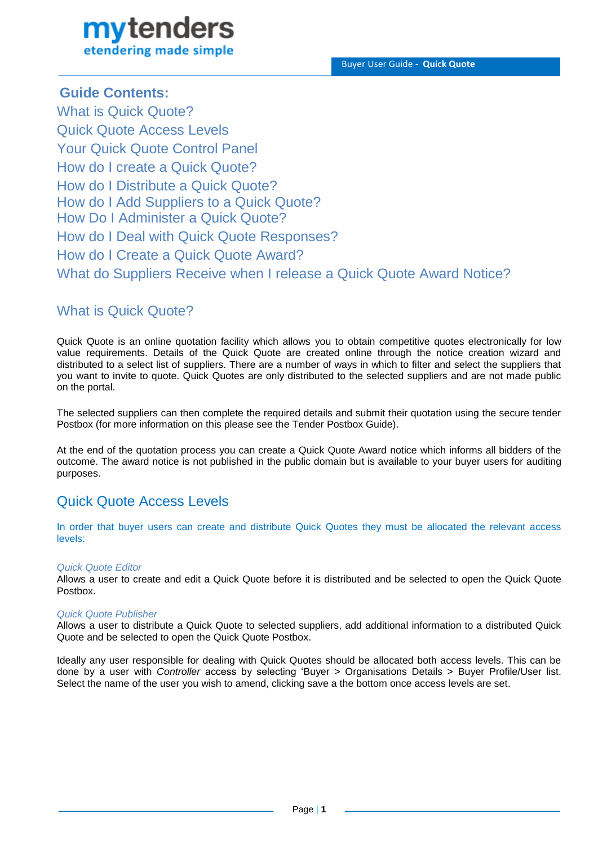# mytenders etendering made simple

### **Guide Contents:**

What is Quick Quote? Quick Quote Access Levels Your Quick Quote Control Panel How do I create a Quick Quote? How do I Distribute a Quick Quote? How do I Add Suppliers to a Quick Quote? How Do I Administer a Quick Quote? How do I Deal with Quick Quote Responses? How do I Create a Quick Quote Award? What do Suppliers Receive when I release a Quick Quote Award Notice?

# What is Quick Quote?

Quick Quote is an online quotation facility which allows you to obtain competitive quotes electronically for low value requirements. Details of the Quick Quote are created online through the notice creation wizard and distributed to a select list of suppliers. There are a number of ways in which to filter and select the suppliers that you want to invite to quote. Quick Quotes are only distributed to the selected suppliers and are not made public on the portal.

The selected suppliers can then complete the required details and submit their quotation using the secure tender Postbox (for more information on this please see the Tender Postbox Guide).

At the end of the quotation process you can create a Quick Quote Award notice which informs all bidders of the outcome. The award notice is not published in the public domain but is available to your buyer users for auditing purposes.

# Quick Quote Access Levels

In order that buyer users can create and distribute Quick Quotes they must be allocated the relevant access levels:

### *Quick Quote Editor*

Allows a user to create and edit a Quick Quote before it is distributed and be selected to open the Quick Quote Postbox.

### *Quick Quote Publisher*

Allows a user to distribute a Quick Quote to selected suppliers, add additional information to a distributed Quick Quote and be selected to open the Quick Quote Postbox.

Ideally any user responsible for dealing with Quick Quotes should be allocated both access levels. This can be done by a user with *Controller* access by selecting 'Buyer > Organisations Details > Buyer Profile/User list. Select the name of the user you wish to amend, clicking save a the bottom once access levels are set.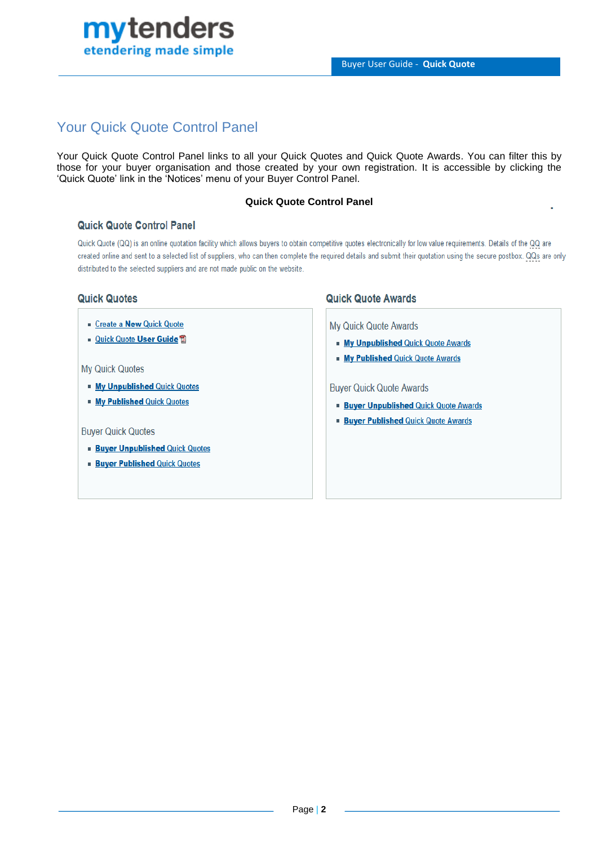

# Your Quick Quote Control Panel

Your Quick Quote Control Panel links to all your Quick Quotes and Quick Quote Awards. You can filter this by those for your buyer organisation and those created by your own registration. It is accessible by clicking the 'Quick Quote' link in the 'Notices' menu of your Buyer Control Panel.

#### **Quick Quote Control Panel**

#### **Quick Quote Control Panel**

Quick Quote (QQ) is an online quotation facility which allows buyers to obtain competitive quotes electronically for low value requirements. Details of the QQ are created online and sent to a selected list of suppliers, who can then complete the required details and submit their quotation using the secure postbox. QQs are only distributed to the selected suppliers and are not made public on the website.

#### **Quick Quotes**

- Create a New Quick Quote
- Quick Quote User Guide ■

#### My Quick Quotes

- **Ny Unpublished Quick Quotes**
- **Ny Published Quick Quotes**

#### **Buyer Quick Quotes**

- **Buyer Unpublished Quick Quotes**
- **Buyer Published Quick Quotes**

#### **Quick Quote Awards**

**My Quick Quote Awards** 

- **My Unpublished Quick Quote Awards**
- **My Published Quick Quote Awards**

**Buyer Quick Quote Awards** 

- **Buyer Unpublished Quick Quote Awards**
- **Buyer Published Quick Quote Awards**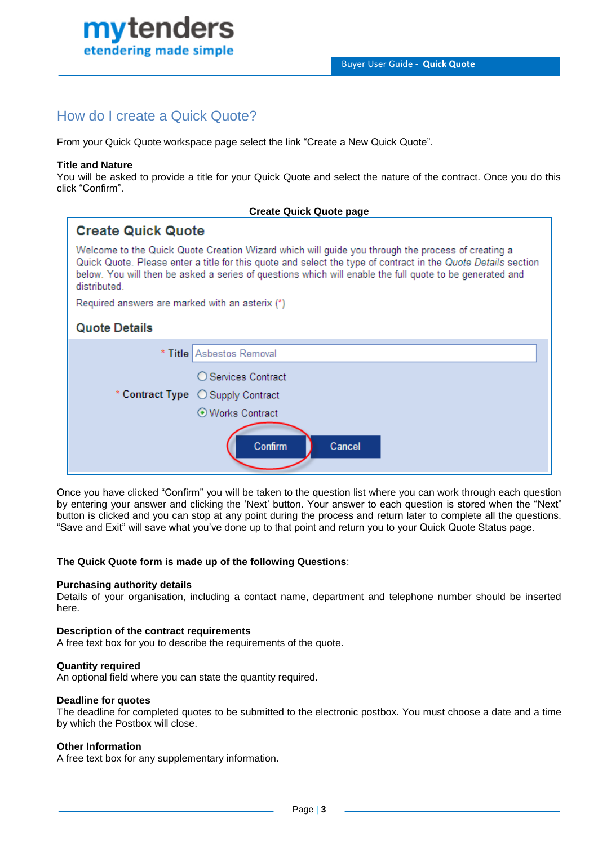

# How do I create a Quick Quote?

From your Quick Quote workspace page select the link "Create a New Quick Quote".

### **Title and Nature**

You will be asked to provide a title for your Quick Quote and select the nature of the contract. Once you do this click "Confirm".

| <b>Create Quick Quote page</b>                                                                                                                                                                                                                                                                                                                |                                    |  |  |
|-----------------------------------------------------------------------------------------------------------------------------------------------------------------------------------------------------------------------------------------------------------------------------------------------------------------------------------------------|------------------------------------|--|--|
| <b>Create Quick Quote</b>                                                                                                                                                                                                                                                                                                                     |                                    |  |  |
| Welcome to the Quick Quote Creation Wizard which will guide you through the process of creating a<br>Quick Quote. Please enter a title for this quote and select the type of contract in the Quote Details section<br>below. You will then be asked a series of questions which will enable the full quote to be generated and<br>distributed |                                    |  |  |
| Required answers are marked with an asterix (*)                                                                                                                                                                                                                                                                                               |                                    |  |  |
| <b>Quote Details</b>                                                                                                                                                                                                                                                                                                                          |                                    |  |  |
|                                                                                                                                                                                                                                                                                                                                               | * Title Asbestos Removal           |  |  |
|                                                                                                                                                                                                                                                                                                                                               | ◯ Services Contract                |  |  |
|                                                                                                                                                                                                                                                                                                                                               | * Contract Type  C Supply Contract |  |  |
|                                                                                                                                                                                                                                                                                                                                               | ⊙ Works Contract                   |  |  |
|                                                                                                                                                                                                                                                                                                                                               |                                    |  |  |
|                                                                                                                                                                                                                                                                                                                                               | Confirm<br>Cancel                  |  |  |
|                                                                                                                                                                                                                                                                                                                                               |                                    |  |  |

Once you have clicked "Confirm" you will be taken to the question list where you can work through each question by entering your answer and clicking the 'Next' button. Your answer to each question is stored when the "Next" button is clicked and you can stop at any point during the process and return later to complete all the questions. "Save and Exit" will save what you've done up to that point and return you to your Quick Quote Status page.

### **The Quick Quote form is made up of the following Questions**:

#### **Purchasing authority details**

Details of your organisation, including a contact name, department and telephone number should be inserted here.

#### **Description of the contract requirements**

A free text box for you to describe the requirements of the quote.

#### **Quantity required**

An optional field where you can state the quantity required.

#### **Deadline for quotes**

The deadline for completed quotes to be submitted to the electronic postbox. You must choose a date and a time by which the Postbox will close.

#### **Other Information**

A free text box for any supplementary information.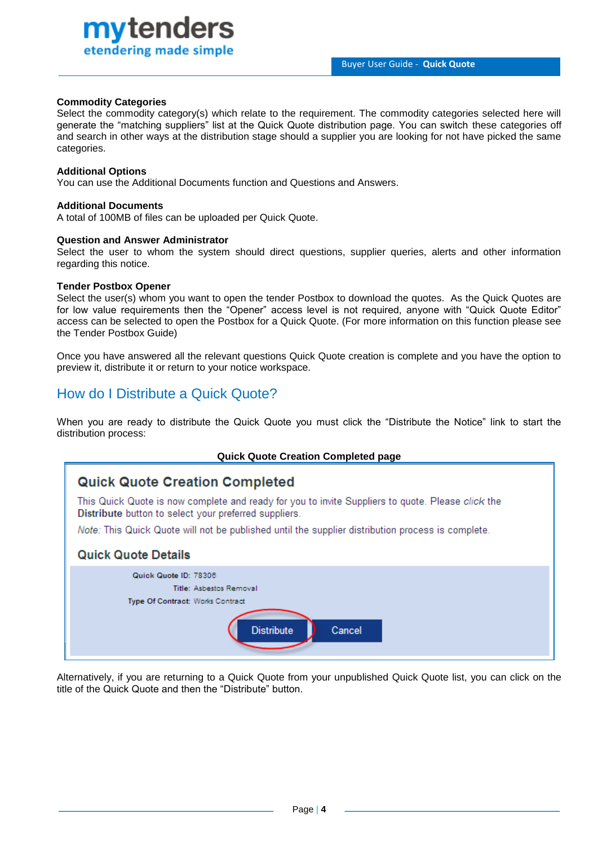Buyer User Guide - **Quick Quote**

#### **Commodity Categories**

Select the commodity category(s) which relate to the requirement. The commodity categories selected here will generate the "matching suppliers" list at the Quick Quote distribution page. You can switch these categories off and search in other ways at the distribution stage should a supplier you are looking for not have picked the same categories.

#### **Additional Options**

You can use the Additional Documents function and Questions and Answers.

#### **Additional Documents**

A total of 100MB of files can be uploaded per Quick Quote.

#### **Question and Answer Administrator**

mvtenders

etendering made simple

Select the user to whom the system should direct questions, supplier queries, alerts and other information regarding this notice.

#### **Tender Postbox Opener**

Select the user(s) whom you want to open the tender Postbox to download the quotes. As the Quick Quotes are for low value requirements then the "Opener" access level is not required, anyone with "Quick Quote Editor" access can be selected to open the Postbox for a Quick Quote. (For more information on this function please see the Tender Postbox Guide)

Once you have answered all the relevant questions Quick Quote creation is complete and you have the option to preview it, distribute it or return to your notice workspace.

### How do I Distribute a Quick Quote?

When you are ready to distribute the Quick Quote you must click the "Distribute the Notice" link to start the distribution process:

#### **Quick Quote Creation Completed page**

### **Quick Quote Creation Completed**

This Quick Quote is now complete and ready for you to invite Suppliers to quote. Please click the Distribute button to select your preferred suppliers.

Note: This Quick Quote will not be published until the supplier distribution process is complete.

### **Quick Quote Details**

| Quick Quote ID: 78306            |
|----------------------------------|
| Title: Asbestos Removal          |
| Type Of Contract: Works Contract |
|                                  |
| <b>Distribute</b><br>Cancel      |
|                                  |

Alternatively, if you are returning to a Quick Quote from your unpublished Quick Quote list, you can click on the title of the Quick Quote and then the "Distribute" button.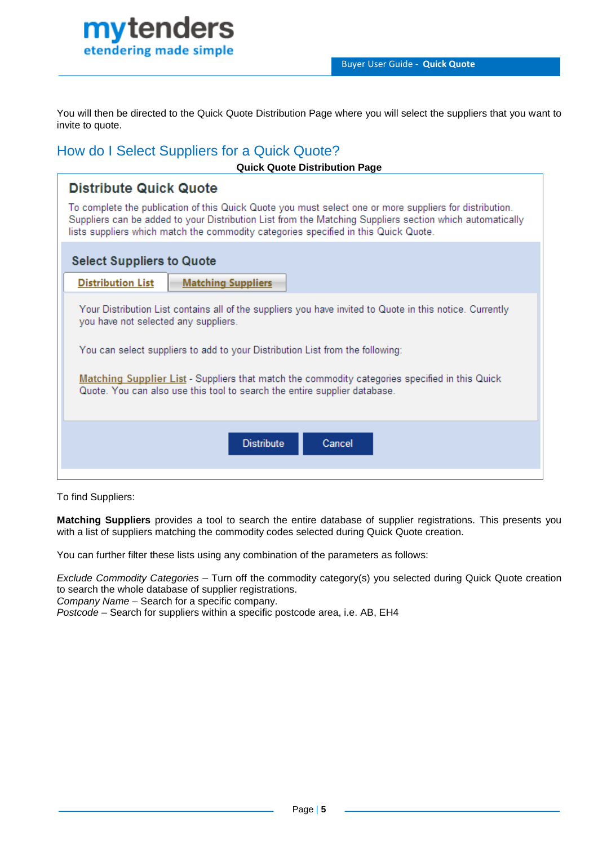

You will then be directed to the Quick Quote Distribution Page where you will select the suppliers that you want to invite to quote.

### How do I Select Suppliers for a Quick Quote?

| <b>Quick Quote Distribution Page</b>                                                                                                                                                                                                                                                                                                                                                                             |  |  |  |
|------------------------------------------------------------------------------------------------------------------------------------------------------------------------------------------------------------------------------------------------------------------------------------------------------------------------------------------------------------------------------------------------------------------|--|--|--|
| <b>Distribute Quick Quote</b>                                                                                                                                                                                                                                                                                                                                                                                    |  |  |  |
| To complete the publication of this Quick Quote you must select one or more suppliers for distribution.<br>Suppliers can be added to your Distribution List from the Matching Suppliers section which automatically<br>lists suppliers which match the commodity categories specified in this Quick Quote.                                                                                                       |  |  |  |
| <b>Select Suppliers to Quote</b>                                                                                                                                                                                                                                                                                                                                                                                 |  |  |  |
| <b>Distribution List</b><br><b>Matching Suppliers</b>                                                                                                                                                                                                                                                                                                                                                            |  |  |  |
| Your Distribution List contains all of the suppliers you have invited to Quote in this notice. Currently<br>you have not selected any suppliers.<br>You can select suppliers to add to your Distribution List from the following:<br>Matching Supplier List - Suppliers that match the commodity categories specified in this Quick<br>Quote. You can also use this tool to search the entire supplier database. |  |  |  |
| <b>Distribute</b><br>Cancel                                                                                                                                                                                                                                                                                                                                                                                      |  |  |  |

To find Suppliers:

**Matching Suppliers** provides a tool to search the entire database of supplier registrations. This presents you with a list of suppliers matching the commodity codes selected during Quick Quote creation.

You can further filter these lists using any combination of the parameters as follows:

*Exclude Commodity Categories* – Turn off the commodity category(s) you selected during Quick Quote creation to search the whole database of supplier registrations.

*Company Name –* Search for a specific company.

*Postcode* – Search for suppliers within a specific postcode area, i.e. AB, EH4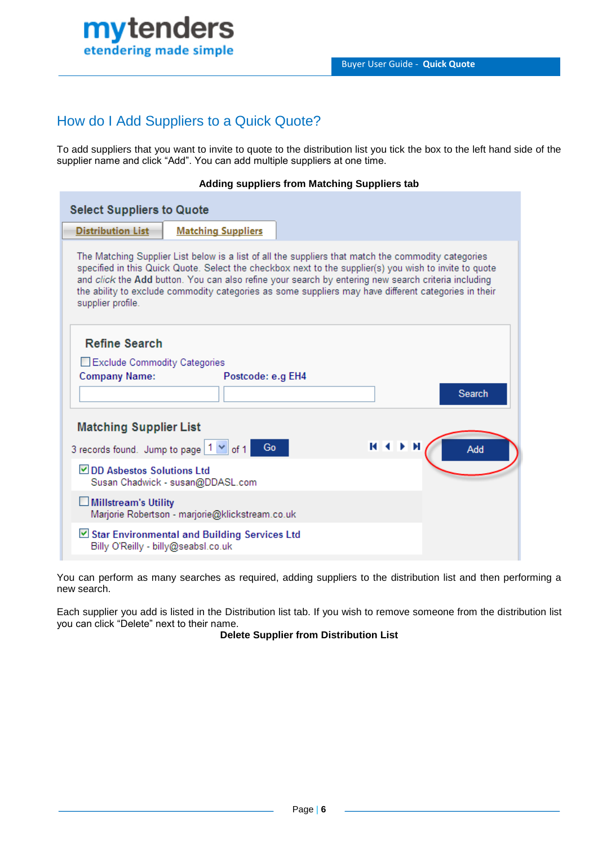

# How do I Add Suppliers to a Quick Quote?

To add suppliers that you want to invite to quote to the distribution list you tick the box to the left hand side of the supplier name and click "Add". You can add multiple suppliers at one time.

#### **Adding suppliers from Matching Suppliers tab**

| <b>Select Suppliers to Quote</b>                                                                                                                                                                                                                                                                                                                                                                                                                  |                                                 |  |                    |  |
|---------------------------------------------------------------------------------------------------------------------------------------------------------------------------------------------------------------------------------------------------------------------------------------------------------------------------------------------------------------------------------------------------------------------------------------------------|-------------------------------------------------|--|--------------------|--|
| <b>Distribution List</b>                                                                                                                                                                                                                                                                                                                                                                                                                          | <b>Matching Suppliers</b>                       |  |                    |  |
| The Matching Supplier List below is a list of all the suppliers that match the commodity categories<br>specified in this Quick Quote. Select the checkbox next to the supplier(s) you wish to invite to quote<br>and click the Add button. You can also refine your search by entering new search criteria including<br>the ability to exclude commodity categories as some suppliers may have different categories in their<br>supplier profile. |                                                 |  |                    |  |
| <b>Refine Search</b>                                                                                                                                                                                                                                                                                                                                                                                                                              |                                                 |  |                    |  |
|                                                                                                                                                                                                                                                                                                                                                                                                                                                   | Exclude Commodity Categories                    |  |                    |  |
| <b>Company Name:</b>                                                                                                                                                                                                                                                                                                                                                                                                                              | Postcode: e.g EH4                               |  |                    |  |
|                                                                                                                                                                                                                                                                                                                                                                                                                                                   |                                                 |  | Search             |  |
| <b>Matching Supplier List</b>                                                                                                                                                                                                                                                                                                                                                                                                                     |                                                 |  |                    |  |
| 3 records found. Jump to page   1 $\vee$   of 1                                                                                                                                                                                                                                                                                                                                                                                                   | Go                                              |  | <b>KKIN</b><br>Add |  |
| DD Asbestos Solutions Ltd<br>Susan Chadwick - susan@DDASL.com                                                                                                                                                                                                                                                                                                                                                                                     |                                                 |  |                    |  |
| <b>Millstream's Utility</b>                                                                                                                                                                                                                                                                                                                                                                                                                       | Marjorie Robertson - marjorie@klickstream.co.uk |  |                    |  |
| Billy O'Reilly - billy@seabsl.co.uk                                                                                                                                                                                                                                                                                                                                                                                                               | ⊠ Star Environmental and Building Services Ltd  |  |                    |  |

You can perform as many searches as required, adding suppliers to the distribution list and then performing a new search.

Each supplier you add is listed in the Distribution list tab. If you wish to remove someone from the distribution list you can click "Delete" next to their name.

**Delete Supplier from Distribution List**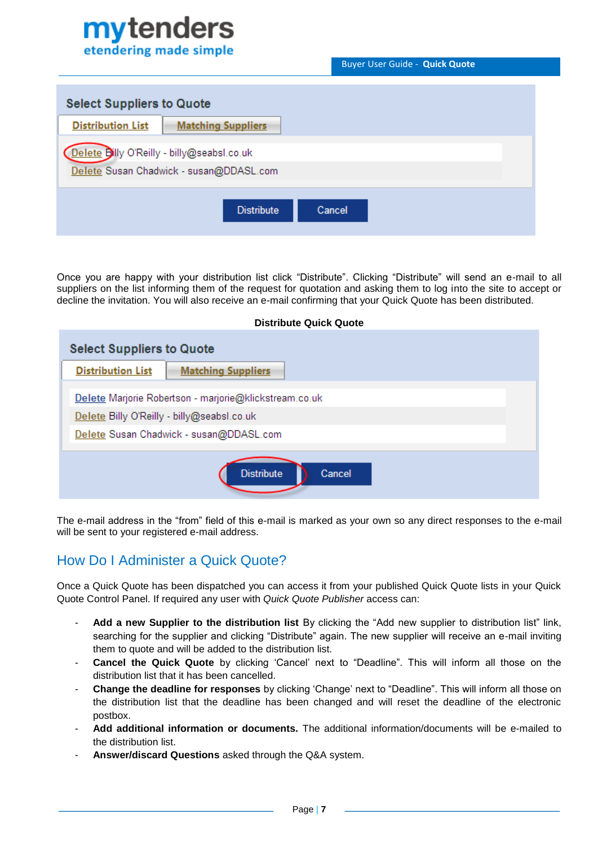# mytenders etendering made simple

Buyer User Guide - **Quick Quote**

| <b>Select Suppliers to Quote</b>                                                      |  |  |  |  |
|---------------------------------------------------------------------------------------|--|--|--|--|
| <b>Distribution List</b><br><b>Matching Suppliers</b>                                 |  |  |  |  |
| Delete Billy O'Reilly - billy@seabsl.co.uk<br>Delete Susan Chadwick - susan@DDASL.com |  |  |  |  |
| <b>Distribute</b><br>Cancel                                                           |  |  |  |  |

Once you are happy with your distribution list click "Distribute". Clicking "Distribute" will send an e-mail to all suppliers on the list informing them of the request for quotation and asking them to log into the site to accept or decline the invitation. You will also receive an e-mail confirming that your Quick Quote has been distributed.

**Distribute Quick Quote**

| <b>Select Suppliers to Quote</b>                                                                                                                |                           |  |  |
|-------------------------------------------------------------------------------------------------------------------------------------------------|---------------------------|--|--|
| <b>Distribution List</b>                                                                                                                        | <b>Matching Suppliers</b> |  |  |
| Delete Marjorie Robertson - marjorie@klickstream.co.uk<br>Delete Billy O'Reilly - billy@seabsl.co.uk<br>Delete Susan Chadwick - susan@DDASL.com |                           |  |  |
| <b>Distribute</b><br>Cancel                                                                                                                     |                           |  |  |

The e-mail address in the "from" field of this e-mail is marked as your own so any direct responses to the e-mail will be sent to your registered e-mail address.

# How Do I Administer a Quick Quote?

Once a Quick Quote has been dispatched you can access it from your published Quick Quote lists in your Quick Quote Control Panel. If required any user with *Quick Quote Publisher* access can:

- **Add a new Supplier to the distribution list** By clicking the "Add new supplier to distribution list" link, searching for the supplier and clicking "Distribute" again. The new supplier will receive an e-mail inviting them to quote and will be added to the distribution list.
- **Cancel the Quick Quote** by clicking 'Cancel' next to "Deadline". This will inform all those on the distribution list that it has been cancelled.
- **Change the deadline for responses** by clicking 'Change' next to "Deadline". This will inform all those on the distribution list that the deadline has been changed and will reset the deadline of the electronic postbox.
- **Add additional information or documents.** The additional information/documents will be e-mailed to the distribution list.
- **Answer/discard Questions** asked through the Q&A system.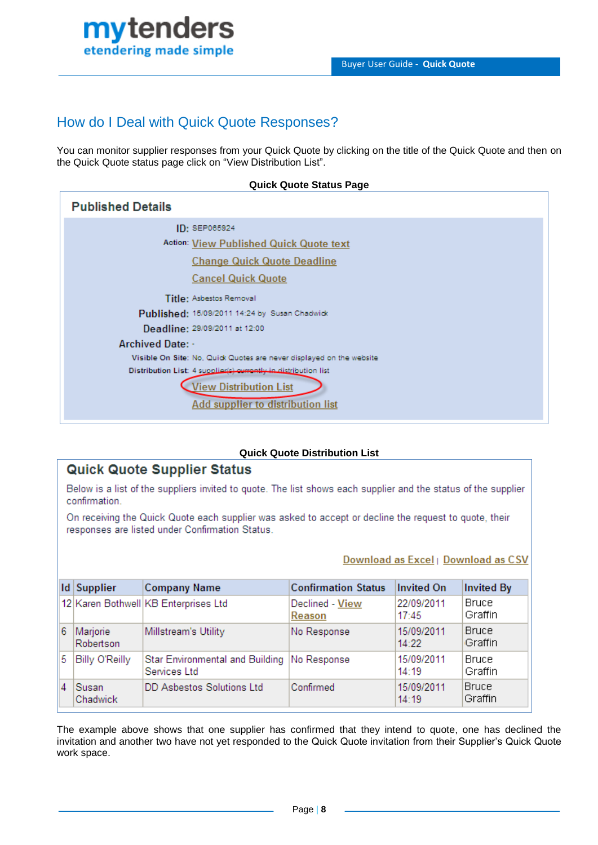

### How do I Deal with Quick Quote Responses?

You can monitor supplier responses from your Quick Quote by clicking on the title of the Quick Quote and then on the Quick Quote status page click on "View Distribution List".

| <b>Quick Quote Status Page</b>                                                                                                                                                                                                                                                                                                                               |  |  |
|--------------------------------------------------------------------------------------------------------------------------------------------------------------------------------------------------------------------------------------------------------------------------------------------------------------------------------------------------------------|--|--|
| <b>Published Details</b>                                                                                                                                                                                                                                                                                                                                     |  |  |
| ID: SEP065924<br>Action: View Published Quick Quote text<br><b>Change Quick Quote Deadline</b><br><b>Cancel Quick Quote</b>                                                                                                                                                                                                                                  |  |  |
| Title: Asbestos Removal<br>Published: 15/09/2011 14:24 by Susan Chadwick<br>Deadline: 29/09/2011 at 12:00<br><b>Archived Date: -</b><br>Visible On Site: No, Quick Quotes are never displayed on the website<br>Distribution List: 4 supplier(s) currently in distribution list<br><b>View Distribution List</b><br><b>Add supplier to distribution list</b> |  |  |

### **Quick Quote Distribution List**

### **Quick Quote Supplier Status**

Below is a list of the suppliers invited to quote. The list shows each supplier and the status of the supplier confirmation.

On receiving the Quick Quote each supplier was asked to accept or decline the request to quote, their responses are listed under Confirmation Status.

#### Download as Excel | Download as CSV

|   | <b>Id Supplier</b>    | <b>Company Name</b>                                           | <b>Confirmation Status</b> | <b>Invited On</b>   | <b>Invited By</b>       |
|---|-----------------------|---------------------------------------------------------------|----------------------------|---------------------|-------------------------|
|   |                       | 12 Karen Bothwell KB Enterprises Ltd                          | Declined - View<br>Reason  | 22/09/2011<br>17:45 | <b>Bruce</b><br>Graffin |
| 6 | Marjorie<br>Robertson | Millstream's Utility                                          | No Response                | 15/09/2011<br>14:22 | Bruce<br>Graffin        |
| 5 | Billy O'Reilly        | Star Environmental and Building   No Response<br>Services Ltd |                            | 15/09/2011<br>14:19 | <b>Bruce</b><br>Graffin |
| 4 | Susan<br>Chadwick     | DD Asbestos Solutions Ltd                                     | Confirmed                  | 15/09/2011<br>14:19 | Bruce<br>Graffin        |

The example above shows that one supplier has confirmed that they intend to quote, one has declined the invitation and another two have not yet responded to the Quick Quote invitation from their Supplier's Quick Quote work space.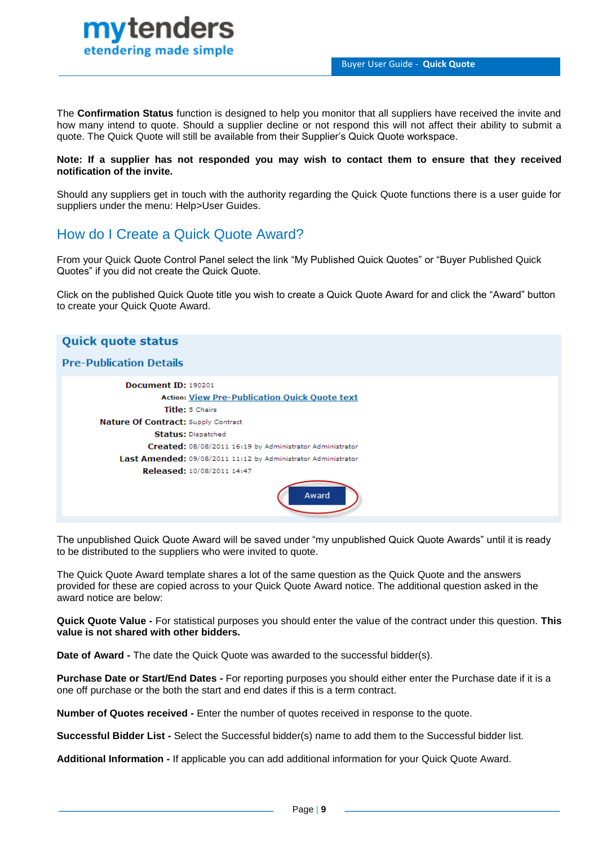

The **Confirmation Status** function is designed to help you monitor that all suppliers have received the invite and how many intend to quote. Should a supplier decline or not respond this will not affect their ability to submit a quote. The Quick Quote will still be available from their Supplier's Quick Quote workspace.

#### **Note: If a supplier has not responded you may wish to contact them to ensure that they received notification of the invite.**

Should any suppliers get in touch with the authority regarding the Quick Quote functions there is a user guide for suppliers under the menu: Help>User Guides.

### How do I Create a Quick Quote Award?

From your Quick Quote Control Panel select the link "My Published Quick Quotes" or "Buyer Published Quick Quotes" if you did not create the Quick Quote.

Click on the published Quick Quote title you wish to create a Quick Quote Award for and click the "Award" button to create your Quick Quote Award.

# **Quick quote status Pre-Publication Details** Document ID: 190201 **Action: View Pre-Publication Quick Quote text** Title: 5 Chairs Nature Of Contract: Supply Contract **Status: Dispatched** Created: 08/08/2011 16:19 by Administrator Administrator Last Amended: 09/08/2011 11:12 by Administrator Administrator Released: 10/08/2011 14:47 Award

The unpublished Quick Quote Award will be saved under "my unpublished Quick Quote Awards" until it is ready to be distributed to the suppliers who were invited to quote.

The Quick Quote Award template shares a lot of the same question as the Quick Quote and the answers provided for these are copied across to your Quick Quote Award notice. The additional question asked in the award notice are below:

**Quick Quote Value -** For statistical purposes you should enter the value of the contract under this question. **This value is not shared with other bidders.**

**Date of Award -** The date the Quick Quote was awarded to the successful bidder(s).

**Purchase Date or Start/End Dates -** For reporting purposes you should either enter the Purchase date if it is a one off purchase or the both the start and end dates if this is a term contract.

**Number of Quotes received -** Enter the number of quotes received in response to the quote.

**Successful Bidder List -** Select the Successful bidder(s) name to add them to the Successful bidder list.

**Additional Information -** If applicable you can add additional information for your Quick Quote Award.